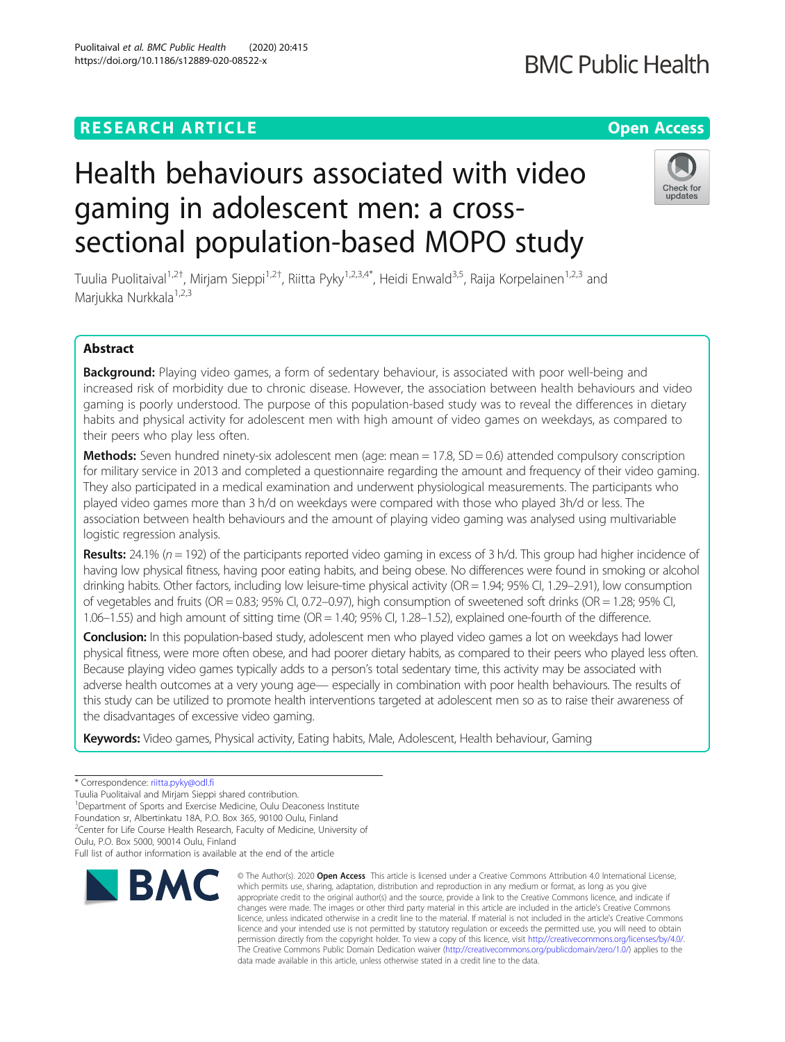## **RESEARCH ARTICLE Example 2014 12:30 The Contract of Contract ACCESS**

# Health behaviours associated with video gaming in adolescent men: a crosssectional population-based MOPO study

Tuulia Puolitaival<sup>1,2†</sup>, Mirjam Sieppi<sup>1,2†</sup>, Riitta Pyky<sup>1,2,3,4\*</sup>, Heidi Enwald<sup>3,5</sup>, Raija Korpelainen<sup>1,2,3</sup> and Marjukka Nurkkala<sup>1,2,3</sup>

## Abstract

Background: Playing video games, a form of sedentary behaviour, is associated with poor well-being and increased risk of morbidity due to chronic disease. However, the association between health behaviours and video gaming is poorly understood. The purpose of this population-based study was to reveal the differences in dietary habits and physical activity for adolescent men with high amount of video games on weekdays, as compared to their peers who play less often.

Methods: Seven hundred ninety-six adolescent men (age: mean = 17.8, SD = 0.6) attended compulsory conscription for military service in 2013 and completed a questionnaire regarding the amount and frequency of their video gaming. They also participated in a medical examination and underwent physiological measurements. The participants who played video games more than 3 h/d on weekdays were compared with those who played 3h/d or less. The association between health behaviours and the amount of playing video gaming was analysed using multivariable logistic regression analysis.

**Results:** 24.1% ( $n = 192$ ) of the participants reported video gaming in excess of 3 h/d. This group had higher incidence of having low physical fitness, having poor eating habits, and being obese. No differences were found in smoking or alcohol drinking habits. Other factors, including low leisure-time physical activity (OR = 1.94; 95% CI, 1.29–2.91), low consumption of vegetables and fruits (OR = 0.83; 95% CI, 0.72–0.97), high consumption of sweetened soft drinks (OR = 1.28; 95% CI, 1.06–1.55) and high amount of sitting time (OR = 1.40; 95% CI, 1.28–1.52), explained one-fourth of the difference.

Conclusion: In this population-based study, adolescent men who played video games a lot on weekdays had lower physical fitness, were more often obese, and had poorer dietary habits, as compared to their peers who played less often. Because playing video games typically adds to a person's total sedentary time, this activity may be associated with adverse health outcomes at a very young age— especially in combination with poor health behaviours. The results of this study can be utilized to promote health interventions targeted at adolescent men so as to raise their awareness of the disadvantages of excessive video gaming.

Keywords: Video games, Physical activity, Eating habits, Male, Adolescent, Health behaviour, Gaming

Tuulia Puolitaival and Mirjam Sieppi shared contribution.

<sup>1</sup>Department of Sports and Exercise Medicine, Oulu Deaconess Institute

Foundation sr, Albertinkatu 18A, P.O. Box 365, 90100 Oulu, Finland

<sup>2</sup>Center for Life Course Health Research, Faculty of Medicine, University of

Oulu, P.O. Box 5000, 90014 Oulu, Finland

**RMC** 

Full list of author information is available at the end of the article

## Puolitaival et al. BMC Public Health (2020) 20:415 https://doi.org/10.1186/s12889-020-08522-x

which permits use, sharing, adaptation, distribution and reproduction in any medium or format, as long as you give appropriate credit to the original author(s) and the source, provide a link to the Creative Commons licence, and indicate if changes were made. The images or other third party material in this article are included in the article's Creative Commons licence, unless indicated otherwise in a credit line to the material. If material is not included in the article's Creative Commons licence and your intended use is not permitted by statutory regulation or exceeds the permitted use, you will need to obtain permission directly from the copyright holder. To view a copy of this licence, visit [http://creativecommons.org/licenses/by/4.0/.](http://creativecommons.org/licenses/by/4.0/) The Creative Commons Public Domain Dedication waiver [\(http://creativecommons.org/publicdomain/zero/1.0/](http://creativecommons.org/publicdomain/zero/1.0/)) applies to the data made available in this article, unless otherwise stated in a credit line to the data.

© The Author(s), 2020 **Open Access** This article is licensed under a Creative Commons Attribution 4.0 International License,





<sup>\*</sup> Correspondence: [riitta.pyky@odl.fi](mailto:riitta.pyky@odl.fi)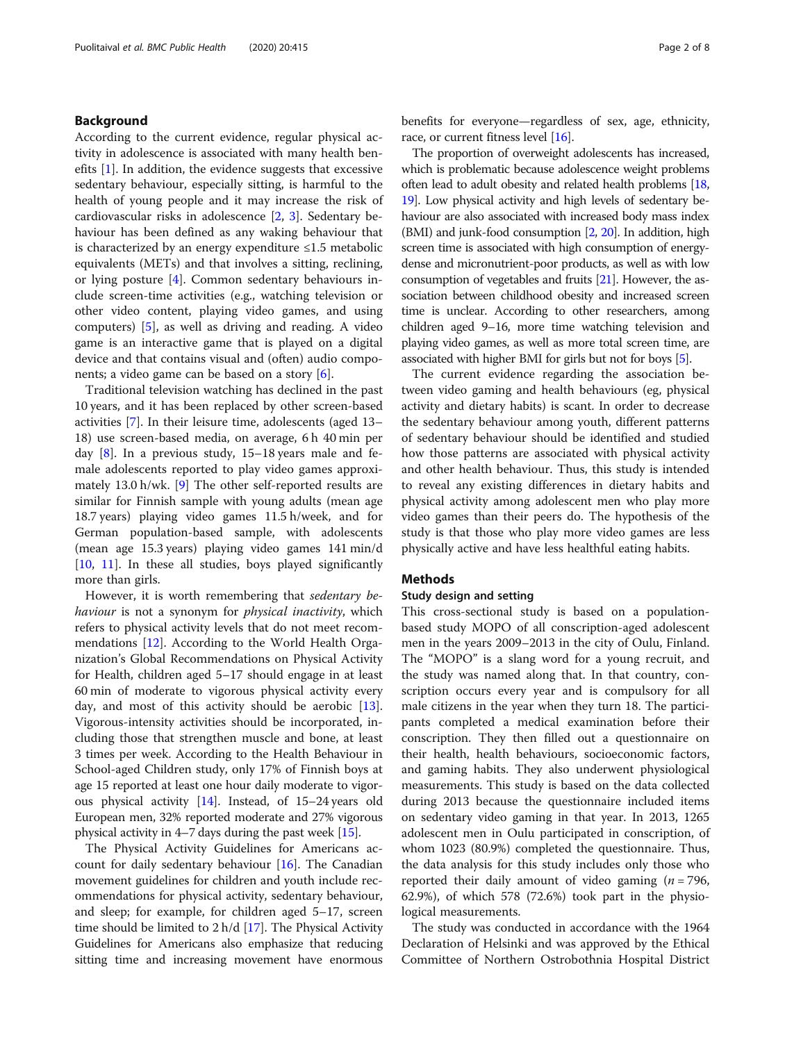#### Background

According to the current evidence, regular physical activity in adolescence is associated with many health benefits  $[1]$  $[1]$ . In addition, the evidence suggests that excessive sedentary behaviour, especially sitting, is harmful to the health of young people and it may increase the risk of cardiovascular risks in adolescence [[2,](#page-6-0) [3](#page-6-0)]. Sedentary behaviour has been defined as any waking behaviour that is characterized by an energy expenditure ≤1.5 metabolic equivalents (METs) and that involves a sitting, reclining, or lying posture [[4\]](#page-6-0). Common sedentary behaviours include screen-time activities (e.g., watching television or other video content, playing video games, and using computers) [\[5](#page-6-0)], as well as driving and reading. A video game is an interactive game that is played on a digital device and that contains visual and (often) audio components; a video game can be based on a story [\[6](#page-6-0)].

Traditional television watching has declined in the past 10 years, and it has been replaced by other screen-based activities [[7](#page-6-0)]. In their leisure time, adolescents (aged 13– 18) use screen-based media, on average, 6 h 40 min per day  $[8]$  $[8]$ . In a previous study, 15–18 years male and female adolescents reported to play video games approximately 13.0 h/wk. [[9\]](#page-6-0) The other self-reported results are similar for Finnish sample with young adults (mean age 18.7 years) playing video games 11.5 h/week, and for German population-based sample, with adolescents (mean age 15.3 years) playing video games 141 min/d [[10,](#page-6-0) [11\]](#page-6-0). In these all studies, boys played significantly more than girls.

However, it is worth remembering that sedentary behaviour is not a synonym for *physical inactivity*, which refers to physical activity levels that do not meet recommendations [\[12](#page-6-0)]. According to the World Health Organization's Global Recommendations on Physical Activity for Health, children aged 5–17 should engage in at least 60 min of moderate to vigorous physical activity every day, and most of this activity should be aerobic [\[13](#page-6-0)]. Vigorous-intensity activities should be incorporated, including those that strengthen muscle and bone, at least 3 times per week. According to the Health Behaviour in School-aged Children study, only 17% of Finnish boys at age 15 reported at least one hour daily moderate to vigorous physical activity [\[14](#page-7-0)]. Instead, of 15–24 years old European men, 32% reported moderate and 27% vigorous physical activity in 4–7 days during the past week [\[15\]](#page-7-0).

The Physical Activity Guidelines for Americans account for daily sedentary behaviour [[16\]](#page-7-0). The Canadian movement guidelines for children and youth include recommendations for physical activity, sedentary behaviour, and sleep; for example, for children aged 5–17, screen time should be limited to 2 h/d [[17](#page-7-0)]. The Physical Activity Guidelines for Americans also emphasize that reducing sitting time and increasing movement have enormous benefits for everyone—regardless of sex, age, ethnicity, race, or current fitness level [\[16\]](#page-7-0).

The proportion of overweight adolescents has increased, which is problematic because adolescence weight problems often lead to adult obesity and related health problems [\[18](#page-7-0), [19](#page-7-0)]. Low physical activity and high levels of sedentary behaviour are also associated with increased body mass index (BMI) and junk-food consumption [[2](#page-6-0), [20\]](#page-7-0). In addition, high screen time is associated with high consumption of energydense and micronutrient-poor products, as well as with low consumption of vegetables and fruits [\[21](#page-7-0)]. However, the association between childhood obesity and increased screen time is unclear. According to other researchers, among children aged 9–16, more time watching television and playing video games, as well as more total screen time, are associated with higher BMI for girls but not for boys [\[5](#page-6-0)].

The current evidence regarding the association between video gaming and health behaviours (eg, physical activity and dietary habits) is scant. In order to decrease the sedentary behaviour among youth, different patterns of sedentary behaviour should be identified and studied how those patterns are associated with physical activity and other health behaviour. Thus, this study is intended to reveal any existing differences in dietary habits and physical activity among adolescent men who play more video games than their peers do. The hypothesis of the study is that those who play more video games are less physically active and have less healthful eating habits.

#### Methods

#### Study design and setting

This cross-sectional study is based on a populationbased study MOPO of all conscription-aged adolescent men in the years 2009–2013 in the city of Oulu, Finland. The "MOPO" is a slang word for a young recruit, and the study was named along that. In that country, conscription occurs every year and is compulsory for all male citizens in the year when they turn 18. The participants completed a medical examination before their conscription. They then filled out a questionnaire on their health, health behaviours, socioeconomic factors, and gaming habits. They also underwent physiological measurements. This study is based on the data collected during 2013 because the questionnaire included items on sedentary video gaming in that year. In 2013, 1265 adolescent men in Oulu participated in conscription, of whom 1023 (80.9%) completed the questionnaire. Thus, the data analysis for this study includes only those who reported their daily amount of video gaming  $(n = 796,$ 62.9%), of which 578 (72.6%) took part in the physiological measurements.

The study was conducted in accordance with the 1964 Declaration of Helsinki and was approved by the Ethical Committee of Northern Ostrobothnia Hospital District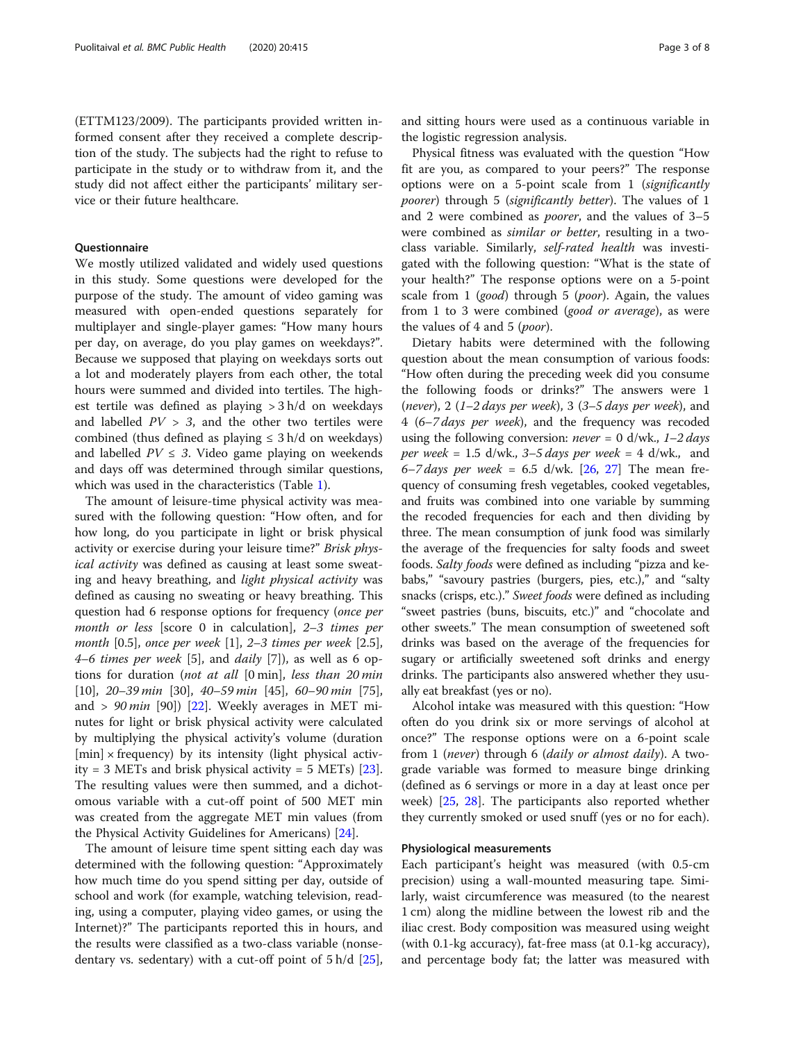(ETTM123/2009). The participants provided written informed consent after they received a complete description of the study. The subjects had the right to refuse to participate in the study or to withdraw from it, and the study did not affect either the participants' military service or their future healthcare.

#### **Ouestionnaire**

We mostly utilized validated and widely used questions in this study. Some questions were developed for the purpose of the study. The amount of video gaming was measured with open-ended questions separately for multiplayer and single-player games: "How many hours per day, on average, do you play games on weekdays?". Because we supposed that playing on weekdays sorts out a lot and moderately players from each other, the total hours were summed and divided into tertiles. The highest tertile was defined as playing > 3 h/d on weekdays and labelled  $PV > 3$ , and the other two tertiles were combined (thus defined as playing  $\leq$  3 h/d on weekdays) and labelled  $PV \leq 3$ . Video game playing on weekends and days off was determined through similar questions, which was used in the characteristics (Table [1](#page-3-0)).

The amount of leisure-time physical activity was measured with the following question: "How often, and for how long, do you participate in light or brisk physical activity or exercise during your leisure time?" Brisk physical activity was defined as causing at least some sweating and heavy breathing, and light physical activity was defined as causing no sweating or heavy breathing. This question had 6 response options for frequency (once per month or less [score 0 in calculation], 2–3 times per month [0.5], once per week [1], 2–3 times per week [2.5], 4–6 times per week [5], and daily [7]), as well as 6 options for duration (not at all [0 min], less than 20 min [10], 20–39 min [30], 40–59 min [45], 60–90 min [75], and >  $90$  min [90]) [\[22](#page-7-0)]. Weekly averages in MET minutes for light or brisk physical activity were calculated by multiplying the physical activity's volume (duration  $[min] \times frequency$  by its intensity (light physical activity = 3 METs and brisk physical activity = 5 METs)  $[23]$  $[23]$ . The resulting values were then summed, and a dichotomous variable with a cut-off point of 500 MET min was created from the aggregate MET min values (from the Physical Activity Guidelines for Americans) [\[24\]](#page-7-0).

The amount of leisure time spent sitting each day was determined with the following question: "Approximately how much time do you spend sitting per day, outside of school and work (for example, watching television, reading, using a computer, playing video games, or using the Internet)?" The participants reported this in hours, and the results were classified as a two-class variable (nonsedentary vs. sedentary) with a cut-off point of  $5 h/d$  [\[25](#page-7-0)], and sitting hours were used as a continuous variable in the logistic regression analysis.

Physical fitness was evaluated with the question "How fit are you, as compared to your peers?" The response options were on a 5-point scale from 1 (significantly poorer) through 5 (significantly better). The values of 1 and 2 were combined as poorer, and the values of 3–5 were combined as similar or better, resulting in a twoclass variable. Similarly, self-rated health was investigated with the following question: "What is the state of your health?" The response options were on a 5-point scale from 1 (good) through 5 (poor). Again, the values from 1 to 3 were combined (*good or average*), as were the values of 4 and 5 (poor).

Dietary habits were determined with the following question about the mean consumption of various foods: "How often during the preceding week did you consume the following foods or drinks?" The answers were 1 (never), 2 (1–2 days per week), 3 (3–5 days per week), and 4 (6–7 days per week), and the frequency was recoded using the following conversion: *never* = 0 d/wk.,  $1-2$  days per week = 1.5 d/wk.,  $3-5$  days per week = 4 d/wk., and 6–7 days per week = 6.5 d/wk.  $[26, 27]$  $[26, 27]$  $[26, 27]$  $[26, 27]$  The mean frequency of consuming fresh vegetables, cooked vegetables, and fruits was combined into one variable by summing the recoded frequencies for each and then dividing by three. The mean consumption of junk food was similarly the average of the frequencies for salty foods and sweet foods. Salty foods were defined as including "pizza and kebabs," "savoury pastries (burgers, pies, etc.)," and "salty snacks (crisps, etc.)." Sweet foods were defined as including "sweet pastries (buns, biscuits, etc.)" and "chocolate and other sweets." The mean consumption of sweetened soft drinks was based on the average of the frequencies for sugary or artificially sweetened soft drinks and energy drinks. The participants also answered whether they usually eat breakfast (yes or no).

Alcohol intake was measured with this question: "How often do you drink six or more servings of alcohol at once?" The response options were on a 6-point scale from 1 (never) through 6 (daily or almost daily). A twograde variable was formed to measure binge drinking (defined as 6 servings or more in a day at least once per week) [\[25,](#page-7-0) [28](#page-7-0)]. The participants also reported whether they currently smoked or used snuff (yes or no for each).

#### Physiological measurements

Each participant's height was measured (with 0.5-cm precision) using a wall-mounted measuring tape. Similarly, waist circumference was measured (to the nearest 1 cm) along the midline between the lowest rib and the iliac crest. Body composition was measured using weight (with 0.1-kg accuracy), fat-free mass (at 0.1-kg accuracy), and percentage body fat; the latter was measured with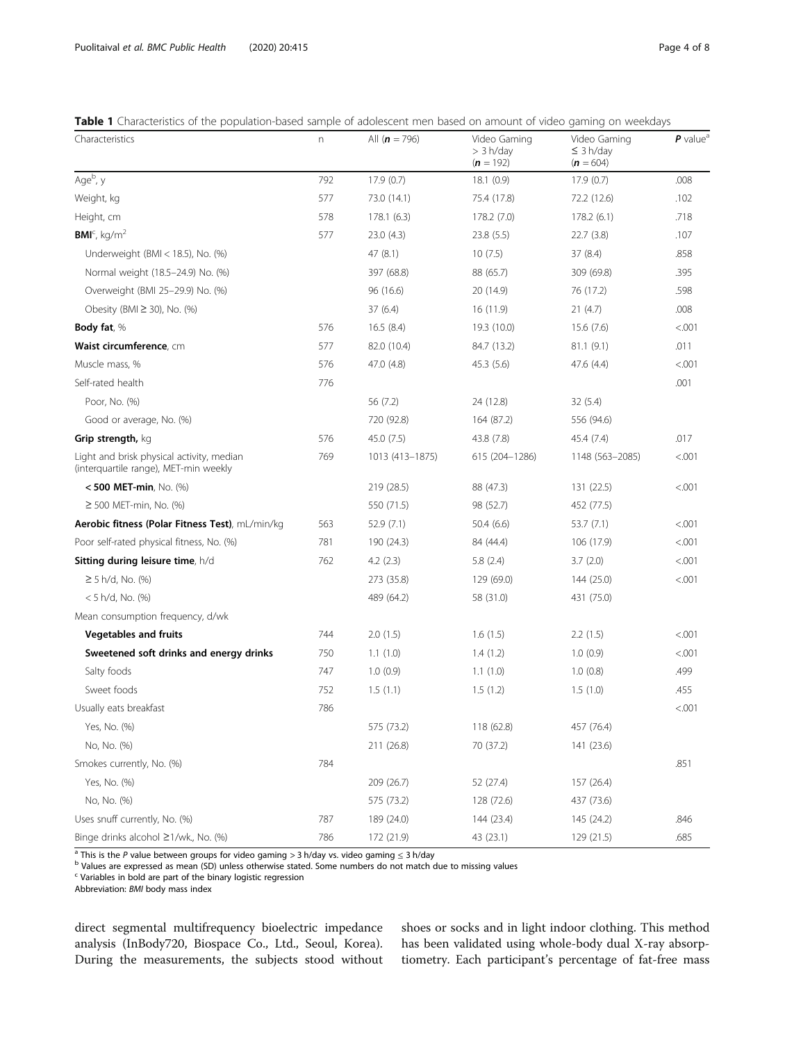### <span id="page-3-0"></span>Table 1 Characteristics of the population-based sample of adolescent men based on amount of video gaming on weekdays

| Characteristics                                                                    | n   | All $(n = 796)$ | Video Gaming<br>> 3 h/day<br>$(n = 192)$ | Video Gaming<br>$\leq$ 3 h/day<br>$(n = 604)$ | $P$ value <sup>a</sup> |
|------------------------------------------------------------------------------------|-----|-----------------|------------------------------------------|-----------------------------------------------|------------------------|
| Age <sup>b</sup> , y                                                               | 792 | 17.9(0.7)       | 18.1(0.9)                                | 17.9(0.7)                                     | .008                   |
| Weight, kg                                                                         | 577 | 73.0 (14.1)     | 75.4 (17.8)                              | 72.2 (12.6)                                   | .102                   |
| Height, cm                                                                         | 578 | 178.1(6.3)      | 178.2 (7.0)                              | 178.2(6.1)                                    | .718                   |
| $BMIc$ , kg/m <sup>2</sup>                                                         | 577 | 23.0(4.3)       | 23.8 (5.5)                               | 22.7(3.8)                                     | .107                   |
| Underweight (BMI $<$ 18.5), No. (%)                                                |     | 47 (8.1)        | 10(7.5)                                  | 37 (8.4)                                      | .858                   |
| Normal weight (18.5-24.9) No. (%)                                                  |     | 397 (68.8)      | 88 (65.7)                                | 309 (69.8)                                    | .395                   |
| Overweight (BMI 25-29.9) No. (%)                                                   |     | 96 (16.6)       | 20 (14.9)                                | 76 (17.2)                                     | .598                   |
| Obesity (BMI $\geq$ 30), No. (%)                                                   |     | 37(6.4)         | 16 (11.9)                                | 21(4.7)                                       | .008                   |
| Body fat, %                                                                        | 576 | 16.5(8.4)       | 19.3 (10.0)                              | 15.6(7.6)                                     | < .001                 |
| Waist circumference, cm                                                            | 577 | 82.0 (10.4)     | 84.7 (13.2)                              | 81.1(9.1)                                     | .011                   |
| Muscle mass, %                                                                     | 576 | 47.0 (4.8)      | 45.3 (5.6)                               | 47.6 (4.4)                                    | < .001                 |
| Self-rated health                                                                  | 776 |                 |                                          |                                               | .001                   |
| Poor, No. (%)                                                                      |     | 56 (7.2)        | 24 (12.8)                                | 32(5.4)                                       |                        |
| Good or average, No. (%)                                                           |     | 720 (92.8)      | 164 (87.2)                               | 556 (94.6)                                    |                        |
| Grip strength, kg                                                                  | 576 | 45.0 (7.5)      | 43.8 (7.8)                               | 45.4 (7.4)                                    | .017                   |
| Light and brisk physical activity, median<br>(interquartile range), MET-min weekly | 769 | 1013 (413–1875) | 615 (204-1286)                           | 1148 (563-2085)                               | < .001                 |
| $< 500$ MET-min, No. (%)                                                           |     | 219 (28.5)      | 88 (47.3)                                | 131 (22.5)                                    | < .001                 |
| $≥$ 500 MET-min, No. (%)                                                           |     | 550 (71.5)      | 98 (52.7)                                | 452 (77.5)                                    |                        |
| Aerobic fitness (Polar Fitness Test), mL/min/kg                                    | 563 | 52.9(7.1)       | 50.4 (6.6)                               | 53.7(7.1)                                     | < .001                 |
| Poor self-rated physical fitness, No. (%)                                          | 781 | 190 (24.3)      | 84 (44.4)                                | 106 (17.9)                                    | < .001                 |
| Sitting during leisure time, h/d                                                   | 762 | 4.2(2.3)        | 5.8(2.4)                                 | 3.7(2.0)                                      | < 0.001                |
| $≥ 5 h/d, No.$ (%)                                                                 |     | 273 (35.8)      | 129 (69.0)                               | 144 (25.0)                                    | < .001                 |
| $< 5$ h/d, No. (%)                                                                 |     | 489 (64.2)      | 58 (31.0)                                | 431 (75.0)                                    |                        |
| Mean consumption frequency, d/wk                                                   |     |                 |                                          |                                               |                        |
| <b>Vegetables and fruits</b>                                                       | 744 | 2.0(1.5)        | 1.6(1.5)                                 | 2.2(1.5)                                      | < .001                 |
| Sweetened soft drinks and energy drinks                                            | 750 | 1.1(1.0)        | 1.4(1.2)                                 | 1.0(0.9)                                      | < .001                 |
| Salty foods                                                                        | 747 | 1.0(0.9)        | 1.1(1.0)                                 | 1.0(0.8)                                      | .499                   |
| Sweet foods                                                                        | 752 | 1.5(1.1)        | 1.5(1.2)                                 | 1.5(1.0)                                      | .455                   |
| Usually eats breakfast                                                             | 786 |                 |                                          |                                               | < .001                 |
| Yes, No. (%)                                                                       |     | 575 (73.2)      | 118 (62.8)                               | 457 (76.4)                                    |                        |
| No, No. (%)                                                                        |     | 211 (26.8)      | 70 (37.2)                                | 141 (23.6)                                    |                        |
| Smokes currently, No. (%)                                                          | 784 |                 |                                          |                                               | .851                   |
| Yes, No. (%)                                                                       |     | 209 (26.7)      | 52 (27.4)                                | 157 (26.4)                                    |                        |
| No, No. (%)                                                                        |     | 575 (73.2)      | 128 (72.6)                               | 437 (73.6)                                    |                        |
| Uses snuff currently, No. (%)                                                      | 787 | 189 (24.0)      | 144 (23.4)                               | 145 (24.2)                                    | .846                   |
| Binge drinks alcohol ≥1/wk., No. (%)                                               | 786 | 172 (21.9)      | 43 (23.1)                                | 129 (21.5)                                    | .685                   |

a This is the P value between groups for video gaming > 3 h/day vs. video gaming ≤ 3 h/day<br><sup>b</sup> Values are expressed as mean (SD) unless otherwise stated. Some numbers do not match due to missing values

<sup>c</sup> Variables in bold are part of the binary logistic regression

Abbreviation: BMI body mass index

direct segmental multifrequency bioelectric impedance analysis (InBody720, Biospace Co., Ltd., Seoul, Korea). During the measurements, the subjects stood without shoes or socks and in light indoor clothing. This method has been validated using whole-body dual X-ray absorptiometry. Each participant's percentage of fat-free mass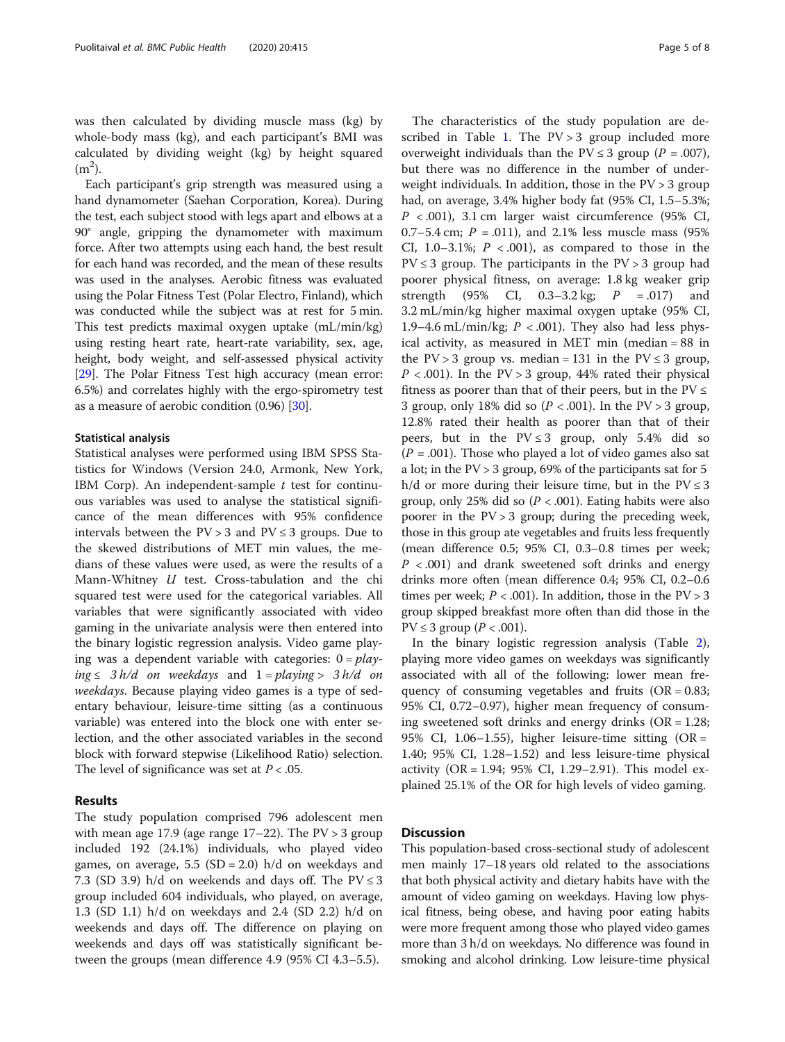was then calculated by dividing muscle mass (kg) by whole-body mass (kg), and each participant's BMI was calculated by dividing weight (kg) by height squared  $(m<sup>2</sup>)$ .

Each participant's grip strength was measured using a hand dynamometer (Saehan Corporation, Korea). During the test, each subject stood with legs apart and elbows at a 90° angle, gripping the dynamometer with maximum force. After two attempts using each hand, the best result for each hand was recorded, and the mean of these results was used in the analyses. Aerobic fitness was evaluated using the Polar Fitness Test (Polar Electro, Finland), which was conducted while the subject was at rest for 5 min. This test predicts maximal oxygen uptake (mL/min/kg) using resting heart rate, heart-rate variability, sex, age, height, body weight, and self-assessed physical activity [[29](#page-7-0)]. The Polar Fitness Test high accuracy (mean error: 6.5%) and correlates highly with the ergo-spirometry test as a measure of aerobic condition (0.96) [[30](#page-7-0)].

#### Statistical analysis

Statistical analyses were performed using IBM SPSS Statistics for Windows (Version 24.0, Armonk, New York, IBM Corp). An independent-sample  $t$  test for continuous variables was used to analyse the statistical significance of the mean differences with 95% confidence intervals between the  $PV > 3$  and  $PV \leq 3$  groups. Due to the skewed distributions of MET min values, the medians of these values were used, as were the results of a Mann-Whitney U test. Cross-tabulation and the chi squared test were used for the categorical variables. All variables that were significantly associated with video gaming in the univariate analysis were then entered into the binary logistic regression analysis. Video game playing was a dependent variable with categories:  $0 = play$ ing ≤ 3 h/d on weekdays and  $1 = playing > 3 h/d$  on weekdays. Because playing video games is a type of sedentary behaviour, leisure-time sitting (as a continuous variable) was entered into the block one with enter selection, and the other associated variables in the second block with forward stepwise (Likelihood Ratio) selection. The level of significance was set at  $P < .05$ .

#### Results

The study population comprised 796 adolescent men with mean age 17.9 (age range  $17-22$ ). The PV > 3 group included 192 (24.1%) individuals, who played video games, on average, 5.5 (SD = 2.0) h/d on weekdays and 7.3 (SD 3.9) h/d on weekends and days off. The  $PV \le 3$ group included 604 individuals, who played, on average, 1.3 (SD 1.1) h/d on weekdays and 2.4 (SD 2.2) h/d on weekends and days off. The difference on playing on weekends and days off was statistically significant between the groups (mean difference 4.9 (95% CI 4.3–5.5).

The characteristics of the study population are de-scribed in Table [1](#page-3-0). The  $PV > 3$  group included more overweight individuals than the  $PV \leq 3$  group ( $P = .007$ ), but there was no difference in the number of underweight individuals. In addition, those in the PV > 3 group had, on average, 3.4% higher body fat (95% CI, 1.5–5.3%;  $P < .001$ ), 3.1 cm larger waist circumference (95% CI, 0.7–5.4 cm;  $P = 0.011$ , and 2.1% less muscle mass (95%) CI, 1.0–3.1%;  $P < .001$ ), as compared to those in the  $PV \leq 3$  group. The participants in the  $PV > 3$  group had poorer physical fitness, on average: 1.8 kg weaker grip strength (95% CI, 0.3–3.2 kg;  $P = .017$ ) and 3.2 mL/min/kg higher maximal oxygen uptake (95% CI, 1.9–4.6 mL/min/kg;  $P < .001$ ). They also had less physical activity, as measured in MET min (median = 88 in the  $PV > 3$  group vs. median = 131 in the  $PV \le 3$  group,  $P < .001$ ). In the PV > 3 group, 44% rated their physical fitness as poorer than that of their peers, but in the  $PV \leq$ 3 group, only 18% did so  $(P < .001)$ . In the PV > 3 group, 12.8% rated their health as poorer than that of their peers, but in the  $PV \leq 3$  group, only 5.4% did so  $(P = .001)$ . Those who played a lot of video games also sat a lot; in the PV > 3 group, 69% of the participants sat for 5 h/d or more during their leisure time, but in the  $PV \leq 3$ group, only 25% did so  $(P < .001)$ . Eating habits were also poorer in the  $PV > 3$  group; during the preceding week, those in this group ate vegetables and fruits less frequently (mean difference 0.5; 95% CI, 0.3–0.8 times per week;  $P < .001$ ) and drank sweetened soft drinks and energy drinks more often (mean difference 0.4; 95% CI, 0.2–0.6 times per week;  $P < .001$ ). In addition, those in the  $PV > 3$ group skipped breakfast more often than did those in the  $PV \leq 3$  group ( $P < .001$ ).

In the binary logistic regression analysis (Table [2](#page-5-0)), playing more video games on weekdays was significantly associated with all of the following: lower mean frequency of consuming vegetables and fruits  $(OR = 0.83;$ 95% CI, 0.72–0.97), higher mean frequency of consuming sweetened soft drinks and energy drinks  $(OR = 1.28;$ 95% CI, 1.06–1.55), higher leisure-time sitting (OR = 1.40; 95% CI, 1.28–1.52) and less leisure-time physical activity (OR = 1.94; 95% CI, 1.29–2.91). This model explained 25.1% of the OR for high levels of video gaming.

### **Discussion**

This population-based cross-sectional study of adolescent men mainly 17–18 years old related to the associations that both physical activity and dietary habits have with the amount of video gaming on weekdays. Having low physical fitness, being obese, and having poor eating habits were more frequent among those who played video games more than 3 h/d on weekdays. No difference was found in smoking and alcohol drinking. Low leisure-time physical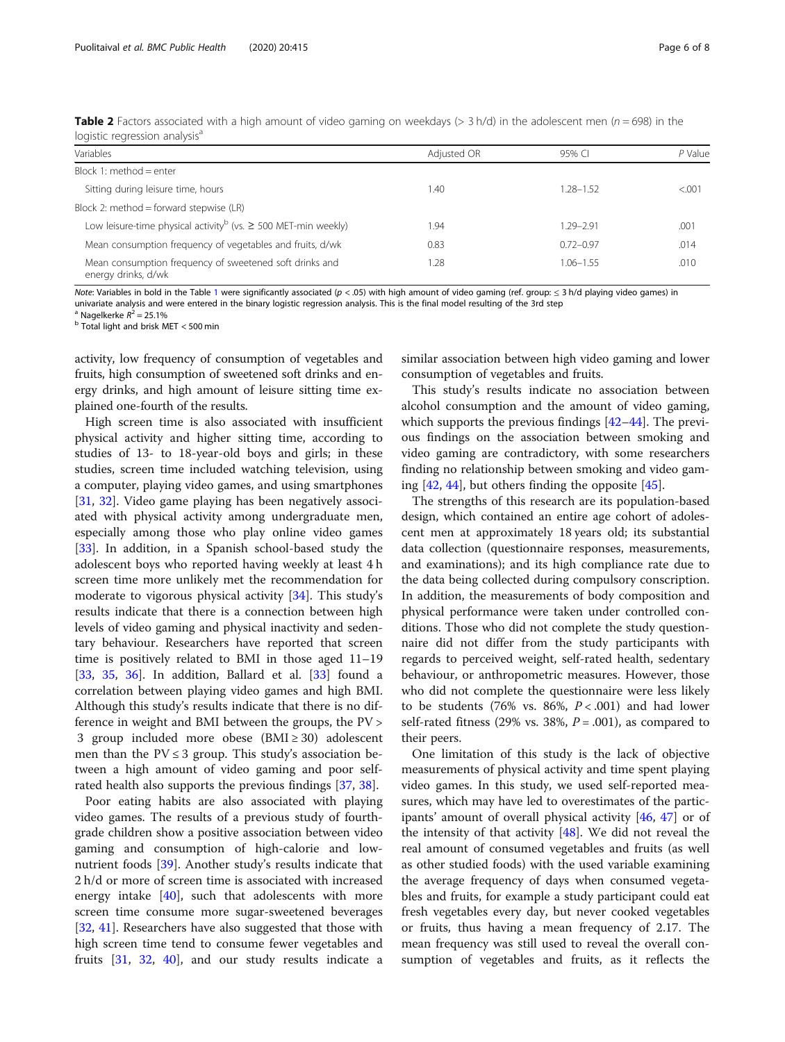| logistic regression analysis                                                    |             |               |         |  |  |  |
|---------------------------------------------------------------------------------|-------------|---------------|---------|--|--|--|
| Variables                                                                       | Adjusted OR | 95% CI        | P Value |  |  |  |
| Block 1: method = enter                                                         |             |               |         |  |  |  |
| Sitting during leisure time, hours                                              | 1.40        | 1.28–1.52     | < 0.001 |  |  |  |
| Block 2: method = forward stepwise $(LR)$                                       |             |               |         |  |  |  |
| Low leisure-time physical activity <sup>b</sup> (vs. $\geq$ 500 MET-min weekly) | 1.94        | 1.29–2.91     | .001    |  |  |  |
| Mean consumption frequency of vegetables and fruits, d/wk                       | 0.83        | $0.72 - 0.97$ | .014    |  |  |  |

<span id="page-5-0"></span>Table 2 Factors associated with a high amount of video gaming on weekdays  $(> 3 h/d)$  in the adolescent men ( $n = 698$ ) in the logistic regression analysis<sup>a</sup>

Note: Variables in bold in the Table [1](#page-3-0) were significantly associated (p < .05) with high amount of video gaming (ref. group: ≤ 3 h/d playing video games) in univariate analysis and were entered in the binary logistic regression analysis. This is the final model resulting of the 3rd step <sup>a</sup> Nagelkerke  $R^2 = 25.1\%$ 

 $b$  Total light and brisk MET < 500 min

energy drinks, d/wk

activity, low frequency of consumption of vegetables and fruits, high consumption of sweetened soft drinks and energy drinks, and high amount of leisure sitting time explained one-fourth of the results.

Mean consumption frequency of sweetened soft drinks and

High screen time is also associated with insufficient physical activity and higher sitting time, according to studies of 13- to 18-year-old boys and girls; in these studies, screen time included watching television, using a computer, playing video games, and using smartphones [[31,](#page-7-0) [32](#page-7-0)]. Video game playing has been negatively associated with physical activity among undergraduate men, especially among those who play online video games [[33\]](#page-7-0). In addition, in a Spanish school-based study the adolescent boys who reported having weekly at least 4 h screen time more unlikely met the recommendation for moderate to vigorous physical activity [\[34\]](#page-7-0). This study's results indicate that there is a connection between high levels of video gaming and physical inactivity and sedentary behaviour. Researchers have reported that screen time is positively related to BMI in those aged 11–19 [[33,](#page-7-0) [35](#page-7-0), [36](#page-7-0)]. In addition, Ballard et al. [[33\]](#page-7-0) found a correlation between playing video games and high BMI. Although this study's results indicate that there is no difference in weight and BMI between the groups, the PV > 3 group included more obese  $(BMI \ge 30)$  adolescent men than the  $PV \leq 3$  group. This study's association between a high amount of video gaming and poor selfrated health also supports the previous findings [[37](#page-7-0), [38](#page-7-0)].

Poor eating habits are also associated with playing video games. The results of a previous study of fourthgrade children show a positive association between video gaming and consumption of high-calorie and lownutrient foods [[39\]](#page-7-0). Another study's results indicate that 2 h/d or more of screen time is associated with increased energy intake [[40\]](#page-7-0), such that adolescents with more screen time consume more sugar-sweetened beverages [[32,](#page-7-0) [41\]](#page-7-0). Researchers have also suggested that those with high screen time tend to consume fewer vegetables and fruits [\[31](#page-7-0), [32](#page-7-0), [40\]](#page-7-0), and our study results indicate a similar association between high video gaming and lower consumption of vegetables and fruits.

1.28  $1.06-1.55$  .010

This study's results indicate no association between alcohol consumption and the amount of video gaming, which supports the previous findings [[42](#page-7-0)–[44](#page-7-0)]. The previous findings on the association between smoking and video gaming are contradictory, with some researchers finding no relationship between smoking and video gaming  $[42, 44]$  $[42, 44]$  $[42, 44]$  $[42, 44]$ , but others finding the opposite  $[45]$  $[45]$  $[45]$ .

The strengths of this research are its population-based design, which contained an entire age cohort of adolescent men at approximately 18 years old; its substantial data collection (questionnaire responses, measurements, and examinations); and its high compliance rate due to the data being collected during compulsory conscription. In addition, the measurements of body composition and physical performance were taken under controlled conditions. Those who did not complete the study questionnaire did not differ from the study participants with regards to perceived weight, self-rated health, sedentary behaviour, or anthropometric measures. However, those who did not complete the questionnaire were less likely to be students (76% vs. 86%,  $P < .001$ ) and had lower self-rated fitness (29% vs. 38%,  $P = .001$ ), as compared to their peers.

One limitation of this study is the lack of objective measurements of physical activity and time spent playing video games. In this study, we used self-reported measures, which may have led to overestimates of the participants' amount of overall physical activity [[46](#page-7-0), [47](#page-7-0)] or of the intensity of that activity  $[48]$  $[48]$ . We did not reveal the real amount of consumed vegetables and fruits (as well as other studied foods) with the used variable examining the average frequency of days when consumed vegetables and fruits, for example a study participant could eat fresh vegetables every day, but never cooked vegetables or fruits, thus having a mean frequency of 2.17. The mean frequency was still used to reveal the overall consumption of vegetables and fruits, as it reflects the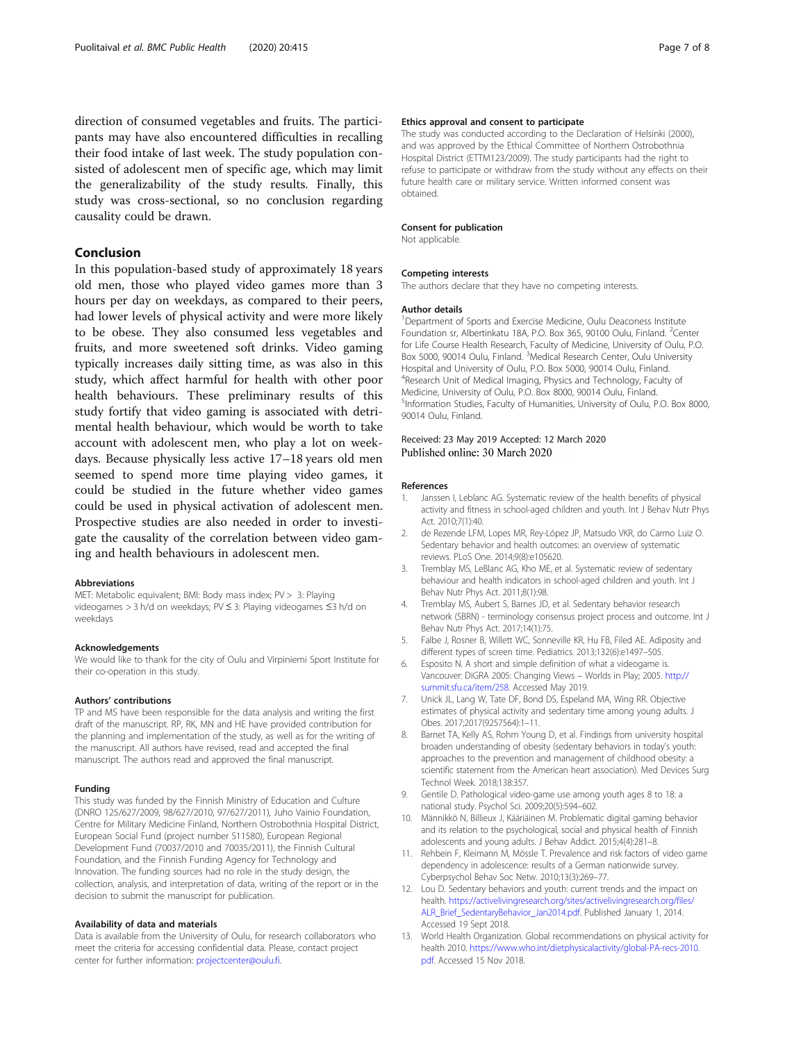<span id="page-6-0"></span>direction of consumed vegetables and fruits. The participants may have also encountered difficulties in recalling their food intake of last week. The study population consisted of adolescent men of specific age, which may limit the generalizability of the study results. Finally, this study was cross-sectional, so no conclusion regarding causality could be drawn.

#### Conclusion

In this population-based study of approximately 18 years old men, those who played video games more than 3 hours per day on weekdays, as compared to their peers, had lower levels of physical activity and were more likely to be obese. They also consumed less vegetables and fruits, and more sweetened soft drinks. Video gaming typically increases daily sitting time, as was also in this study, which affect harmful for health with other poor health behaviours. These preliminary results of this study fortify that video gaming is associated with detrimental health behaviour, which would be worth to take account with adolescent men, who play a lot on weekdays. Because physically less active 17–18 years old men seemed to spend more time playing video games, it could be studied in the future whether video games could be used in physical activation of adolescent men. Prospective studies are also needed in order to investigate the causality of the correlation between video gaming and health behaviours in adolescent men.

#### Abbreviations

MET: Metabolic equivalent; BMI: Body mass index; PV > 3: Playing videogames > 3 h/d on weekdays; PV ≤ 3: Playing videogames ≤3 h/d on weekdays

#### Acknowledgements

We would like to thank for the city of Oulu and Virpiniemi Sport Institute for their co-operation in this study.

#### Authors' contributions

TP and MS have been responsible for the data analysis and writing the first draft of the manuscript. RP, RK, MN and HE have provided contribution for the planning and implementation of the study, as well as for the writing of the manuscript. All authors have revised, read and accepted the final manuscript. The authors read and approved the final manuscript.

#### Funding

This study was funded by the Finnish Ministry of Education and Culture (DNRO 125/627/2009, 98/627/2010, 97/627/2011), Juho Vainio Foundation, Centre for Military Medicine Finland, Northern Ostrobothnia Hospital District, European Social Fund (project number S11580), European Regional Development Fund (70037/2010 and 70035/2011), the Finnish Cultural Foundation, and the Finnish Funding Agency for Technology and Innovation. The funding sources had no role in the study design, the collection, analysis, and interpretation of data, writing of the report or in the decision to submit the manuscript for publication.

#### Availability of data and materials

Data is available from the University of Oulu, for research collaborators who meet the criteria for accessing confidential data. Please, contact project center for further information: [projectcenter@oulu.fi](mailto:projectcenter@oulu.fi).

#### Ethics approval and consent to participate

The study was conducted according to the Declaration of Helsinki (2000), and was approved by the Ethical Committee of Northern Ostrobothnia Hospital District (ETTM123/2009). The study participants had the right to refuse to participate or withdraw from the study without any effects on their future health care or military service. Written informed consent was obtained.

#### Consent for publication

Not applicable.

#### Competing interests

The authors declare that they have no competing interests.

#### Author details

<sup>1</sup>Department of Sports and Exercise Medicine, Oulu Deaconess Institute Foundation sr, Albertinkatu 18A, P.O. Box 365, 90100 Oulu, Finland. <sup>2</sup>Center for Life Course Health Research, Faculty of Medicine, University of Oulu, P.O. Box 5000, 90014 Oulu, Finland. <sup>3</sup>Medical Research Center, Oulu University Hospital and University of Oulu, P.O. Box 5000, 90014 Oulu, Finland. 4 Research Unit of Medical Imaging, Physics and Technology, Faculty of Medicine, University of Oulu, P.O. Box 8000, 90014 Oulu, Finland. <sup>5</sup>Information Studies, Faculty of Humanities, University of Oulu, P.O. Box 8000 90014 Oulu, Finland.

## Received: 23 May 2019 Accepted: 12 March 2020

#### References

- 1. Janssen I, Leblanc AG. Systematic review of the health benefits of physical activity and fitness in school-aged children and youth. Int J Behav Nutr Phys Act. 2010;7(1):40.
- 2. de Rezende LFM, Lopes MR, Rey-López JP, Matsudo VKR, do Carmo Luiz O. Sedentary behavior and health outcomes: an overview of systematic reviews. PLoS One. 2014;9(8):e105620.
- 3. Tremblay MS, LeBlanc AG, Kho ME, et al. Systematic review of sedentary behaviour and health indicators in school-aged children and youth. Int J Behav Nutr Phys Act. 2011;8(1):98.
- 4. Tremblay MS, Aubert S, Barnes JD, et al. Sedentary behavior research network (SBRN) - terminology consensus project process and outcome. Int J Behav Nutr Phys Act. 2017;14(1):75.
- 5. Falbe J, Rosner B, Willett WC, Sonneville KR, Hu FB, Filed AE. Adiposity and different types of screen time. Pediatrics. 2013;132(6):e1497–505.
- 6. Esposito N. A short and simple definition of what a videogame is. Vancouver: DiGRA 2005: Changing Views – Worlds in Play; 2005. [http://](http://summit.sfu.ca/item/258) [summit.sfu.ca/item/258](http://summit.sfu.ca/item/258). Accessed May 2019.
- 7. Unick JL, Lang W, Tate DF, Bond DS, Espeland MA, Wing RR. Objective estimates of physical activity and sedentary time among young adults. J Obes. 2017;2017(9257564):1–11.
- 8. Barnet TA, Kelly AS, Rohm Young D, et al. Findings from university hospital broaden understanding of obesity (sedentary behaviors in today's youth: approaches to the prevention and management of childhood obesity: a scientific statement from the American heart association). Med Devices Surg Technol Week. 2018;138:357.
- 9. Gentile D. Pathological video-game use among youth ages 8 to 18: a national study. Psychol Sci. 2009;20(5):594–602.
- 10. Männikkö N, Billieux J, Kääriäinen M. Problematic digital gaming behavior and its relation to the psychological, social and physical health of Finnish adolescents and young adults. J Behav Addict. 2015;4(4):281–8.
- 11. Rehbein F, Kleimann M, Mössle T. Prevalence and risk factors of video game dependency in adolescence: results of a German nationwide survey. Cyberpsychol Behav Soc Netw. 2010;13(3):269–77.
- 12. Lou D. Sedentary behaviors and youth: current trends and the impact on health. [https://activelivingresearch.org/sites/activelivingresearch.org/files/](https://activelivingresearch.org/sites/activelivingresearch.org/files/ALR_Brief_SedentaryBehavior_Jan2014.pdf) [ALR\\_Brief\\_SedentaryBehavior\\_Jan2014.pdf](https://activelivingresearch.org/sites/activelivingresearch.org/files/ALR_Brief_SedentaryBehavior_Jan2014.pdf). Published January 1, 2014. Accessed 19 Sept 2018.
- 13. World Health Organization. Global recommendations on physical activity for health 2010. [https://www.who.int/dietphysicalactivity/global-PA-recs-2010.](https://www.who.int/dietphysicalactivity/global-PA-recs-2010.pdf) [pdf](https://www.who.int/dietphysicalactivity/global-PA-recs-2010.pdf). Accessed 15 Nov 2018.